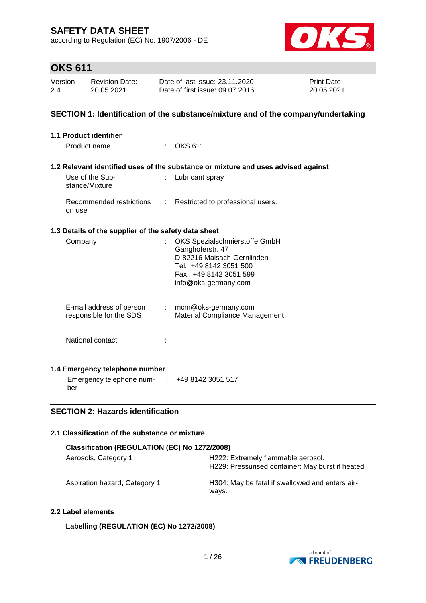according to Regulation (EC) No. 1907/2006 - DE



# **OKS 611**

| Version | <b>Revision Date:</b> | Date of last issue: 23.11.2020  | Print Date: |
|---------|-----------------------|---------------------------------|-------------|
| 2.4     | 20.05.2021            | Date of first issue: 09.07.2016 | 20.05.2021  |

### **SECTION 1: Identification of the substance/mixture and of the company/undertaking**

| 1.1 Product identifier                                                    |                |                                                                                                                                                               |
|---------------------------------------------------------------------------|----------------|---------------------------------------------------------------------------------------------------------------------------------------------------------------|
| Product name                                                              |                | <b>OKS 611</b>                                                                                                                                                |
|                                                                           |                | 1.2 Relevant identified uses of the substance or mixture and uses advised against                                                                             |
| Use of the Sub-<br>stance/Mixture                                         | ÷.             | Lubricant spray                                                                                                                                               |
| Recommended restrictions<br>on use                                        | $\mathbb{R}^n$ | Restricted to professional users.                                                                                                                             |
| 1.3 Details of the supplier of the safety data sheet                      |                |                                                                                                                                                               |
| Company                                                                   | t.             | OKS Spezialschmierstoffe GmbH<br>Ganghoferstr. 47<br>D-82216 Maisach-Gernlinden<br>Tel.: +49 8142 3051 500<br>Fax.: +49 8142 3051 599<br>info@oks-germany.com |
| E-mail address of person : mcm@oks-germany.com<br>responsible for the SDS |                | Material Compliance Management                                                                                                                                |
| National contact                                                          |                |                                                                                                                                                               |
| 1.4 Emergency telephone number                                            |                |                                                                                                                                                               |
| Emergency telephone num- : +49 8142 3051 517<br>ber                       |                |                                                                                                                                                               |

### **SECTION 2: Hazards identification**

### **2.1 Classification of the substance or mixture**

| Classification (REGULATION (EC) No 1272/2008) |                                                                                         |  |  |  |  |  |
|-----------------------------------------------|-----------------------------------------------------------------------------------------|--|--|--|--|--|
| Aerosols, Category 1                          | H222: Extremely flammable aerosol.<br>H229: Pressurised container: May burst if heated. |  |  |  |  |  |
| Aspiration hazard, Category 1                 | H304: May be fatal if swallowed and enters air-<br>ways.                                |  |  |  |  |  |

### **2.2 Label elements**

### **Labelling (REGULATION (EC) No 1272/2008)**

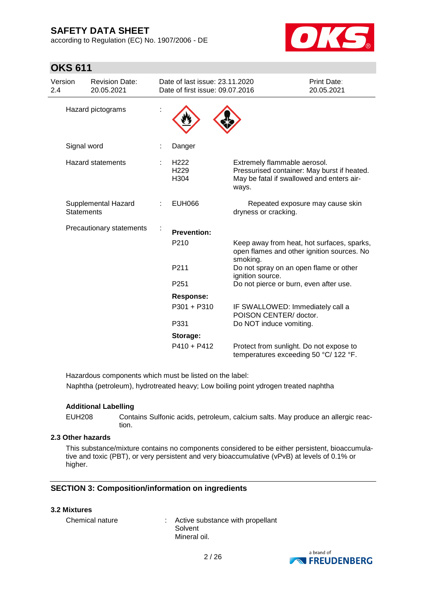according to Regulation (EC) No. 1907/2006 - DE



| <b>OKS 611</b> |  |  |
|----------------|--|--|
|                |  |  |

| Version<br>2.4 | <b>Revision Date:</b><br>20.05.2021      | Date of last issue: 23.11.2020<br>Date of first issue: 09.07.2016 |                                                                                                                                   | Print Date:<br>20.05.2021        |
|----------------|------------------------------------------|-------------------------------------------------------------------|-----------------------------------------------------------------------------------------------------------------------------------|----------------------------------|
|                | Hazard pictograms                        |                                                                   |                                                                                                                                   |                                  |
|                | Signal word                              | Danger                                                            |                                                                                                                                   |                                  |
|                | <b>Hazard statements</b>                 | H <sub>222</sub><br>H <sub>229</sub><br>H304                      | Extremely flammable aerosol.<br>Pressurised container: May burst if heated.<br>May be fatal if swallowed and enters air-<br>ways. |                                  |
|                | Supplemental Hazard<br><b>Statements</b> | <b>EUH066</b>                                                     | dryness or cracking.                                                                                                              | Repeated exposure may cause skin |
|                | Precautionary statements                 | <b>Prevention:</b>                                                |                                                                                                                                   |                                  |
|                |                                          | P210                                                              | Keep away from heat, hot surfaces, sparks,<br>open flames and other ignition sources. No<br>smoking.                              |                                  |
|                |                                          | P211                                                              | Do not spray on an open flame or other<br>ignition source.                                                                        |                                  |
|                |                                          | P <sub>251</sub>                                                  | Do not pierce or burn, even after use.                                                                                            |                                  |
|                |                                          | Response:                                                         |                                                                                                                                   |                                  |
|                |                                          | P301 + P310                                                       | IF SWALLOWED: Immediately call a<br>POISON CENTER/ doctor.                                                                        |                                  |
|                |                                          | P331                                                              | Do NOT induce vomiting.                                                                                                           |                                  |
|                |                                          | Storage:                                                          |                                                                                                                                   |                                  |
|                |                                          | $P410 + P412$                                                     | Protect from sunlight. Do not expose to<br>temperatures exceeding 50 °C/ 122 °F.                                                  |                                  |

Hazardous components which must be listed on the label: Naphtha (petroleum), hydrotreated heavy; Low boiling point ydrogen treated naphtha

### **Additional Labelling**

EUH208 Contains Sulfonic acids, petroleum, calcium salts. May produce an allergic reaction.

### **2.3 Other hazards**

This substance/mixture contains no components considered to be either persistent, bioaccumulative and toxic (PBT), or very persistent and very bioaccumulative (vPvB) at levels of 0.1% or higher.

### **SECTION 3: Composition/information on ingredients**

#### **3.2 Mixtures**

Chemical nature : Active substance with propellant Solvent Mineral oil.

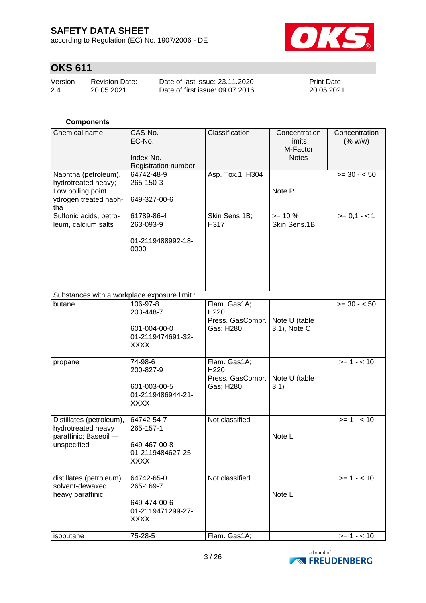according to Regulation (EC) No. 1907/2006 - DE



# **OKS 611**

| Version | Revision Date: | Date of last issue: 23.11.2020  | <b>Print Date:</b> |
|---------|----------------|---------------------------------|--------------------|
| 2.4     | 20.05.2021     | Date of first issue: 09.07.2016 | 20.05.2021         |

### **Components**

| Chemical name                                                                                    | CAS-No.<br>EC-No.<br>Index-No.<br>Registration number                       | Classification                                                    | Concentration<br>limits<br>M-Factor<br><b>Notes</b> | Concentration<br>(% w/w) |
|--------------------------------------------------------------------------------------------------|-----------------------------------------------------------------------------|-------------------------------------------------------------------|-----------------------------------------------------|--------------------------|
| Naphtha (petroleum),<br>hydrotreated heavy;<br>Low boiling point<br>ydrogen treated naph-<br>tha | 64742-48-9<br>265-150-3<br>649-327-00-6                                     | Asp. Tox.1; H304                                                  | Note P                                              | $>= 30 - 50$             |
| Sulfonic acids, petro-<br>leum, calcium salts                                                    | 61789-86-4<br>263-093-9<br>01-2119488992-18-<br>0000                        | Skin Sens.1B;<br>H317                                             | $>= 10 \%$<br>Skin Sens.1B,                         | $>= 0, 1 - 1$            |
| Substances with a workplace exposure limit :                                                     |                                                                             |                                                                   |                                                     |                          |
| butane                                                                                           | 106-97-8<br>203-448-7<br>601-004-00-0<br>01-2119474691-32-<br><b>XXXX</b>   | Flam. Gas1A;<br>H <sub>220</sub><br>Press. GasCompr.<br>Gas; H280 | Note U (table<br>3.1), Note C                       | $>= 30 - 50$             |
| propane                                                                                          | 74-98-6<br>200-827-9<br>601-003-00-5<br>01-2119486944-21-<br><b>XXXX</b>    | Flam. Gas1A;<br>H220<br>Press. GasCompr.<br>Gas; H280             | Note U (table<br>3.1)                               | $>= 1 - 10$              |
| Distillates (petroleum),<br>hydrotreated heavy<br>paraffinic; Baseoil -<br>unspecified           | 64742-54-7<br>265-157-1<br>649-467-00-8<br>01-2119484627-25-<br><b>XXXX</b> | Not classified                                                    | Note L                                              | $>= 1 - 10$              |
| distillates (petroleum),<br>solvent-dewaxed<br>heavy paraffinic                                  | 64742-65-0<br>265-169-7<br>649-474-00-6<br>01-2119471299-27-<br><b>XXXX</b> | Not classified                                                    | Note L                                              | $>= 1 - 10$              |
| isobutane                                                                                        | 75-28-5                                                                     | Flam. Gas1A;                                                      |                                                     | $>= 1 - 10$              |

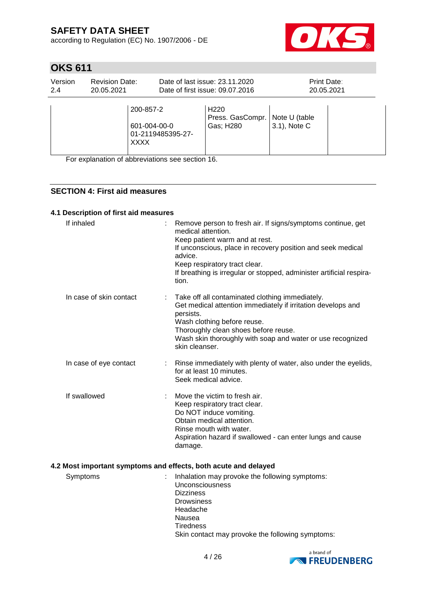according to Regulation (EC) No. 1907/2006 - DE



# **OKS 611**

| Version<br>2.4 | <b>Revision Date:</b><br>20.05.2021 |                                                               | Date of last issue: 23.11.2020<br>Date of first issue: 09.07.2016 | Print Date:                   | 20.05.2021 |
|----------------|-------------------------------------|---------------------------------------------------------------|-------------------------------------------------------------------|-------------------------------|------------|
|                |                                     | 200-857-2<br>601-004-00-0<br>01-2119485395-27-<br><b>XXXX</b> | H <sub>220</sub><br>Press. GasCompr.<br>Gas; H280                 | Note U (table<br>3.1), Note C |            |

For explanation of abbreviations see section 16.

### **SECTION 4: First aid measures**

### **4.1 Description of first aid measures**

| If inhaled              | Remove person to fresh air. If signs/symptoms continue, get<br>medical attention.<br>Keep patient warm and at rest.<br>If unconscious, place in recovery position and seek medical<br>advice.<br>Keep respiratory tract clear.<br>If breathing is irregular or stopped, administer artificial respira-<br>tion. |
|-------------------------|-----------------------------------------------------------------------------------------------------------------------------------------------------------------------------------------------------------------------------------------------------------------------------------------------------------------|
| In case of skin contact | Take off all contaminated clothing immediately.<br>Get medical attention immediately if irritation develops and<br>persists.<br>Wash clothing before reuse.<br>Thoroughly clean shoes before reuse.<br>Wash skin thoroughly with soap and water or use recognized<br>skin cleanser.                             |
| In case of eye contact  | Rinse immediately with plenty of water, also under the eyelids,<br>for at least 10 minutes.<br>Seek medical advice.                                                                                                                                                                                             |
| If swallowed            | Move the victim to fresh air.<br>Keep respiratory tract clear.<br>Do NOT induce vomiting.<br>Obtain medical attention.<br>Rinse mouth with water.<br>Aspiration hazard if swallowed - can enter lungs and cause<br>damage.                                                                                      |
|                         | 4.2 Most important symptoms and effects, both acute and delayed                                                                                                                                                                                                                                                 |
| Symptoms                | Inhalation may provoke the following symptoms:<br>Unconsciousness<br><b>Dizziness</b><br><b>Drowsiness</b><br>Headache<br>Nausea                                                                                                                                                                                |

**Tiredness** 

Skin contact may provoke the following symptoms:

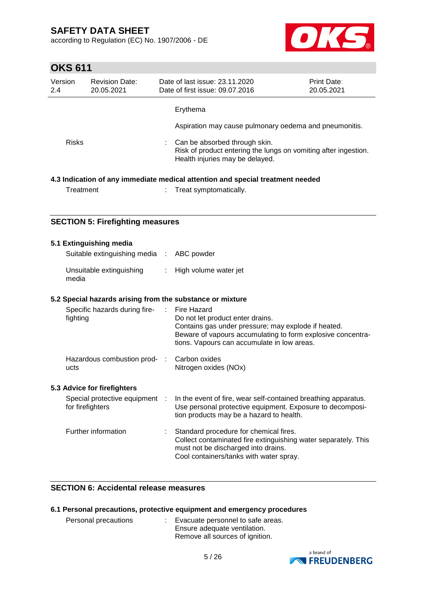according to Regulation (EC) No. 1907/2006 - DE



# **OKS 611**

| Version<br>2.4 |              | <b>Revision Date:</b><br>20.05.2021              |    | Date of last issue: 23.11.2020<br>Date of first issue: 09.07.2016                                                                                                                                                    | Print Date:<br>20.05.2021 |
|----------------|--------------|--------------------------------------------------|----|----------------------------------------------------------------------------------------------------------------------------------------------------------------------------------------------------------------------|---------------------------|
|                |              |                                                  |    | Erythema                                                                                                                                                                                                             |                           |
|                |              |                                                  |    | Aspiration may cause pulmonary oedema and pneumonitis.                                                                                                                                                               |                           |
|                | <b>Risks</b> |                                                  |    | Can be absorbed through skin.<br>Risk of product entering the lungs on vomiting after ingestion.<br>Health injuries may be delayed.                                                                                  |                           |
|                | Treatment    |                                                  |    | 4.3 Indication of any immediate medical attention and special treatment needed<br>Treat symptomatically.                                                                                                             |                           |
|                |              | <b>SECTION 5: Firefighting measures</b>          |    |                                                                                                                                                                                                                      |                           |
|                |              | 5.1 Extinguishing media                          |    |                                                                                                                                                                                                                      |                           |
|                |              | Suitable extinguishing media :                   |    | ABC powder                                                                                                                                                                                                           |                           |
|                | media        | Unsuitable extinguishing                         | ÷. | High volume water jet                                                                                                                                                                                                |                           |
|                |              |                                                  |    | 5.2 Special hazards arising from the substance or mixture                                                                                                                                                            |                           |
|                | fighting     | Specific hazards during fire-                    | ÷. | Fire Hazard<br>Do not let product enter drains.<br>Contains gas under pressure; may explode if heated.<br>Beware of vapours accumulating to form explosive concentra-<br>tions. Vapours can accumulate in low areas. |                           |
|                | ucts         | Hazardous combustion prod-                       |    | Carbon oxides<br>Nitrogen oxides (NOx)                                                                                                                                                                               |                           |
|                |              | 5.3 Advice for firefighters                      |    |                                                                                                                                                                                                                      |                           |
|                |              | Special protective equipment<br>for firefighters |    | In the event of fire, wear self-contained breathing apparatus.<br>Use personal protective equipment. Exposure to decomposi-<br>tion products may be a hazard to health.                                              |                           |
|                |              | Further information                              |    | Standard procedure for chemical fires.<br>Collect contaminated fire extinguishing water separately. This<br>must not be discharged into drains.<br>Cool containers/tanks with water spray.                           |                           |

### **SECTION 6: Accidental release measures**

|                      | 6.1 Personal precautions, protective equipment and emergency procedures                                |
|----------------------|--------------------------------------------------------------------------------------------------------|
| Personal precautions | : Evacuate personnel to safe areas.<br>Ensure adequate ventilation.<br>Remove all sources of ignition. |

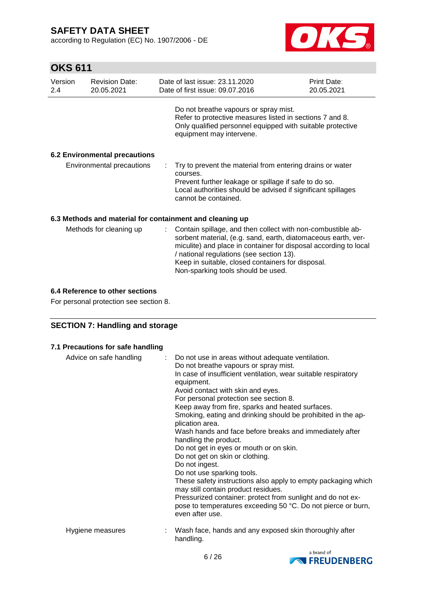according to Regulation (EC) No. 1907/2006 - DE



# **OKS 611**

| Version<br>2.4            | <b>Revision Date:</b><br>20.05.2021  |    | Date of last issue: 23.11.2020<br>Date of first issue: 09.07.2016                                                                                                                                                                                                                                                                       | Print Date:<br>20.05.2021 |  |
|---------------------------|--------------------------------------|----|-----------------------------------------------------------------------------------------------------------------------------------------------------------------------------------------------------------------------------------------------------------------------------------------------------------------------------------------|---------------------------|--|
|                           |                                      |    | Do not breathe vapours or spray mist.<br>Refer to protective measures listed in sections 7 and 8.<br>Only qualified personnel equipped with suitable protective<br>equipment may intervene.                                                                                                                                             |                           |  |
|                           | <b>6.2 Environmental precautions</b> |    |                                                                                                                                                                                                                                                                                                                                         |                           |  |
| Environmental precautions |                                      |    | Try to prevent the material from entering drains or water<br>courses.<br>Prevent further leakage or spillage if safe to do so.<br>Local authorities should be advised if significant spillages<br>cannot be contained.                                                                                                                  |                           |  |
|                           |                                      |    | 6.3 Methods and material for containment and cleaning up                                                                                                                                                                                                                                                                                |                           |  |
|                           | Methods for cleaning up              | ÷. | Contain spillage, and then collect with non-combustible ab-<br>sorbent material, (e.g. sand, earth, diatomaceous earth, ver-<br>miculite) and place in container for disposal according to local<br>/ national regulations (see section 13).<br>Keep in suitable, closed containers for disposal.<br>Non-sparking tools should be used. |                           |  |

### **6.4 Reference to other sections**

For personal protection see section 8.

### **SECTION 7: Handling and storage**

| 7.1 Precautions for safe handling |  |  |  |
|-----------------------------------|--|--|--|
|-----------------------------------|--|--|--|

| Advice on safe handling | : Do not use in areas without adequate ventilation.<br>Do not breathe vapours or spray mist.<br>In case of insufficient ventilation, wear suitable respiratory<br>equipment.<br>Avoid contact with skin and eyes.<br>For personal protection see section 8.<br>Keep away from fire, sparks and heated surfaces.<br>Smoking, eating and drinking should be prohibited in the ap-<br>plication area.<br>Wash hands and face before breaks and immediately after<br>handling the product.<br>Do not get in eyes or mouth or on skin.<br>Do not get on skin or clothing.<br>Do not ingest.<br>Do not use sparking tools.<br>These safety instructions also apply to empty packaging which<br>may still contain product residues.<br>Pressurized container: protect from sunlight and do not ex-<br>pose to temperatures exceeding 50 °C. Do not pierce or burn,<br>even after use. |
|-------------------------|--------------------------------------------------------------------------------------------------------------------------------------------------------------------------------------------------------------------------------------------------------------------------------------------------------------------------------------------------------------------------------------------------------------------------------------------------------------------------------------------------------------------------------------------------------------------------------------------------------------------------------------------------------------------------------------------------------------------------------------------------------------------------------------------------------------------------------------------------------------------------------|
| Hygiene measures        | Wash face, hands and any exposed skin thoroughly after<br>handling.                                                                                                                                                                                                                                                                                                                                                                                                                                                                                                                                                                                                                                                                                                                                                                                                            |

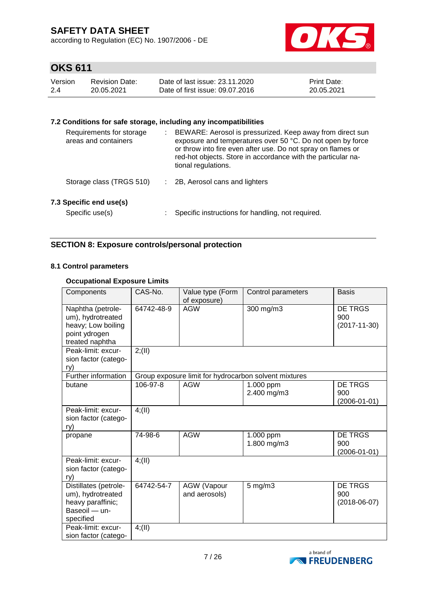according to Regulation (EC) No. 1907/2006 - DE



# **OKS 611**

| Version | Revision Date: | Date of last issue: 23.11.2020  | <b>Print Date:</b> |
|---------|----------------|---------------------------------|--------------------|
| -2.4    | 20.05.2021     | Date of first issue: 09.07.2016 | 20.05.2021         |

### **7.2 Conditions for safe storage, including any incompatibilities**

| Requirements for storage<br>areas and containers | ÷ | BEWARE: Aerosol is pressurized. Keep away from direct sun<br>exposure and temperatures over 50 °C. Do not open by force<br>or throw into fire even after use. Do not spray on flames or<br>red-hot objects. Store in accordance with the particular na-<br>tional regulations. |
|--------------------------------------------------|---|--------------------------------------------------------------------------------------------------------------------------------------------------------------------------------------------------------------------------------------------------------------------------------|
| Storage class (TRGS 510)                         |   | 2B, Aerosol cans and lighters                                                                                                                                                                                                                                                  |
| 7.3 Specific end use(s)<br>Specific use(s)       |   | Specific instructions for handling, not required.                                                                                                                                                                                                                              |

### **SECTION 8: Exposure controls/personal protection**

### **8.1 Control parameters**

### **Occupational Exposure Limits**

| Components                                                                                       | CAS-No.    | Value type (Form<br>of exposure)    | Control parameters                                    | <b>Basis</b>                                |
|--------------------------------------------------------------------------------------------------|------------|-------------------------------------|-------------------------------------------------------|---------------------------------------------|
| Naphtha (petrole-<br>um), hydrotreated<br>heavy; Low boiling<br>point ydrogen<br>treated naphtha | 64742-48-9 | <b>AGW</b>                          | 300 mg/m3                                             | <b>DE TRGS</b><br>900<br>$(2017 - 11 - 30)$ |
| Peak-limit: excur-<br>sion factor (catego-<br>ry)                                                | 2; (II)    |                                     |                                                       |                                             |
| Further information                                                                              |            |                                     | Group exposure limit for hydrocarbon solvent mixtures |                                             |
| butane                                                                                           | 106-97-8   | <b>AGW</b>                          | 1.000 ppm<br>2.400 mg/m3                              | DE TRGS<br>900<br>$(2006 - 01 - 01)$        |
| Peak-limit: excur-<br>sion factor (catego-<br>ry)                                                | 4(11)      |                                     |                                                       |                                             |
| propane                                                                                          | 74-98-6    | <b>AGW</b>                          | 1.000 ppm<br>1.800 mg/m3                              | <b>DE TRGS</b><br>900<br>$(2006 - 01 - 01)$ |
| Peak-limit: excur-<br>sion factor (catego-<br>ry)                                                | 4(11)      |                                     |                                                       |                                             |
| Distillates (petrole-<br>um), hydrotreated<br>heavy paraffinic;<br>Baseoil - un-<br>specified    | 64742-54-7 | <b>AGW</b> (Vapour<br>and aerosols) | $5$ mg/m $3$                                          | <b>DE TRGS</b><br>900<br>$(2018-06-07)$     |
| Peak-limit: excur-<br>sion factor (catego-                                                       | 4(11)      |                                     |                                                       |                                             |

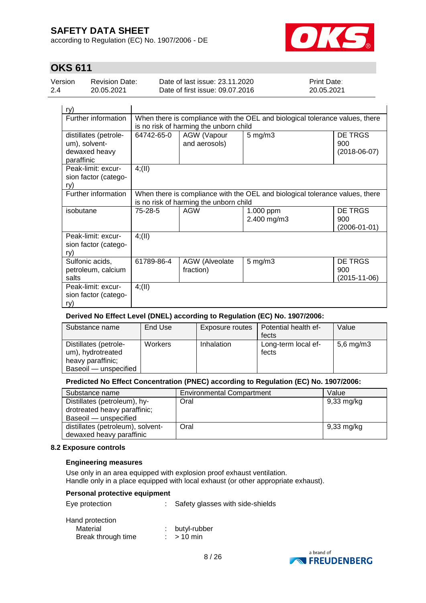according to Regulation (EC) No. 1907/2006 - DE



# **OKS 611**

| Version | Revision Date: | Date of last issue: 23.11.2020  | <b>Print Date:</b> |
|---------|----------------|---------------------------------|--------------------|
| 2.4     | 20.05.2021     | Date of first issue: 09.07.2016 | 20.05.2021         |

| ry)                                                                   |                                                                                                                        |                                                                                  |                          |                                       |  |  |  |
|-----------------------------------------------------------------------|------------------------------------------------------------------------------------------------------------------------|----------------------------------------------------------------------------------|--------------------------|---------------------------------------|--|--|--|
| Further information                                                   | When there is compliance with the OEL and biological tolerance values, there<br>is no risk of harming the unborn child |                                                                                  |                          |                                       |  |  |  |
| distillates (petrole-<br>um), solvent-<br>dewaxed heavy<br>paraffinic | 64742-65-0                                                                                                             | DE TRGS<br>$5$ mg/m $3$<br>AGW (Vapour<br>and aerosols)<br>900<br>$(2018-06-07)$ |                          |                                       |  |  |  |
| Peak-limit: excur-<br>sion factor (catego-<br>ry)                     | 4; (II)                                                                                                                |                                                                                  |                          |                                       |  |  |  |
| Further information                                                   | When there is compliance with the OEL and biological tolerance values, there<br>is no risk of harming the unborn child |                                                                                  |                          |                                       |  |  |  |
| isobutane                                                             | 75-28-5                                                                                                                | <b>AGW</b>                                                                       | 1.000 ppm<br>2.400 mg/m3 | DE TRGS<br>900<br>$(2006 - 01 - 01)$  |  |  |  |
| Peak-limit: excur-<br>sion factor (catego-<br>ry)                     | 4(11)                                                                                                                  |                                                                                  |                          |                                       |  |  |  |
| Sulfonic acids,<br>petroleum, calcium<br>salts                        | 61789-86-4                                                                                                             | <b>AGW</b> (Alveolate<br>fraction)                                               | $5 \text{ mg/m}$ 3       | <b>DE TRGS</b><br>900<br>(2015-11-06) |  |  |  |
| Peak-limit: excur-<br>sion factor (catego-<br>ry)                     | 4; (II)                                                                                                                |                                                                                  |                          |                                       |  |  |  |

### **Derived No Effect Level (DNEL) according to Regulation (EC) No. 1907/2006:**

| Substance name                                                                           | End Use | Exposure routes | Potential health ef-<br>fects | Value          |
|------------------------------------------------------------------------------------------|---------|-----------------|-------------------------------|----------------|
| Distillates (petrole-<br>um), hydrotreated<br>heavy paraffinic;<br>Baseoil - unspecified | Workers | Inhalation      | Long-term local ef-<br>fects  | $5,6$ mg/m $3$ |

### **Predicted No Effect Concentration (PNEC) according to Regulation (EC) No. 1907/2006:**

| Substance name                                                                        | <b>Environmental Compartment</b> | Value                |
|---------------------------------------------------------------------------------------|----------------------------------|----------------------|
| Distillates (petroleum), hy-<br>drotreated heavy paraffinic;<br>Baseoil - unspecified | Oral                             | $9,33 \text{ mg/kg}$ |
| distillates (petroleum), solvent-<br>dewaxed heavy paraffinic                         | Oral                             | $9,33 \text{ mg/kg}$ |

#### **8.2 Exposure controls**

### **Engineering measures**

Use only in an area equipped with explosion proof exhaust ventilation. Handle only in a place equipped with local exhaust (or other appropriate exhaust).

#### **Personal protective equipment**

| Eye protection     | Safety glasses with side-shields |
|--------------------|----------------------------------|
| Hand protection    |                                  |
| Material           | : butyl-rubber                   |
| Break through time | $:$ > 10 min                     |

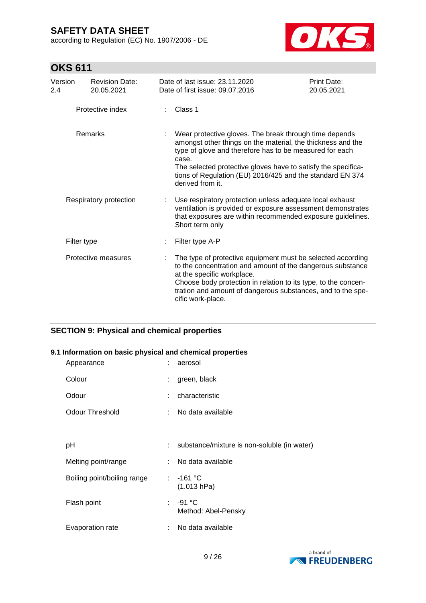according to Regulation (EC) No. 1907/2006 - DE



# **OKS 611**

| Version<br>2.4         | <b>Revision Date:</b><br>20.05.2021 | Date of last issue: 23.11.2020<br>Date of first issue: 09.07.2016                                                                                                                                                                                                                                                                           | Print Date:<br>20.05.2021 |
|------------------------|-------------------------------------|---------------------------------------------------------------------------------------------------------------------------------------------------------------------------------------------------------------------------------------------------------------------------------------------------------------------------------------------|---------------------------|
|                        | Protective index                    | Class 1                                                                                                                                                                                                                                                                                                                                     |                           |
|                        | Remarks                             | Wear protective gloves. The break through time depends<br>amongst other things on the material, the thickness and the<br>type of glove and therefore has to be measured for each<br>case.<br>The selected protective gloves have to satisfy the specifica-<br>tions of Regulation (EU) 2016/425 and the standard EN 374<br>derived from it. |                           |
| Respiratory protection |                                     | Use respiratory protection unless adequate local exhaust<br>ventilation is provided or exposure assessment demonstrates<br>that exposures are within recommended exposure guidelines.<br>Short term only                                                                                                                                    |                           |
|                        | Filter type                         | Filter type A-P                                                                                                                                                                                                                                                                                                                             |                           |
|                        | Protective measures                 | The type of protective equipment must be selected according<br>to the concentration and amount of the dangerous substance<br>at the specific workplace.<br>Choose body protection in relation to its type, to the concen-<br>tration and amount of dangerous substances, and to the spe-<br>cific work-place.                               |                           |

### **SECTION 9: Physical and chemical properties**

### **9.1 Information on basic physical and chemical properties**

| Appearance                  | t. | aerosol                                     |
|-----------------------------|----|---------------------------------------------|
| Colour                      | ÷  | green, black                                |
| Odour                       | ÷  | characteristic                              |
| Odour Threshold             | ÷  | No data available                           |
|                             |    |                                             |
| рH                          | t. | substance/mixture is non-soluble (in water) |
| Melting point/range         | t. | No data available                           |
| Boiling point/boiling range |    | $: -161 °C$<br>(1.013 hPa)                  |
| Flash point                 | t. | $-91 °C$<br>Method: Abel-Pensky             |
| Evaporation rate            |    | No data available                           |

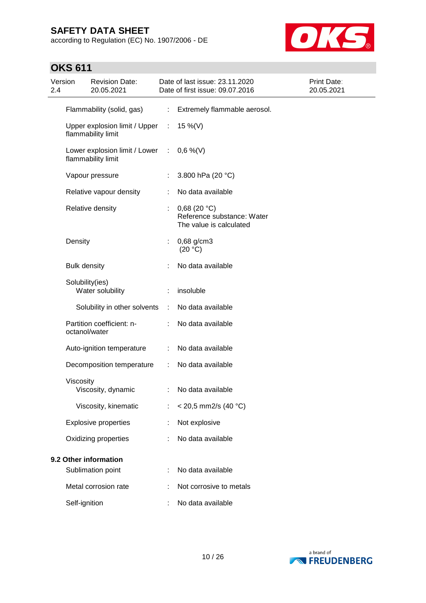according to Regulation (EC) No. 1907/2006 - DE



| Version<br>2.4 |                       | <b>Revision Date:</b><br>20.05.2021                   |                      | Date of last issue: 23.11.2020<br>Date of first issue: 09.07.2016    | Print Date:<br>20.05.2021 |
|----------------|-----------------------|-------------------------------------------------------|----------------------|----------------------------------------------------------------------|---------------------------|
|                |                       | Flammability (solid, gas)                             | ÷.                   | Extremely flammable aerosol.                                         |                           |
|                |                       | Upper explosion limit / Upper :<br>flammability limit |                      | 15 %(V)                                                              |                           |
|                |                       | Lower explosion limit / Lower<br>flammability limit   | $\mathbb{C}^2$       | $0,6\%$ (V)                                                          |                           |
|                |                       | Vapour pressure                                       | ÷                    | 3.800 hPa (20 °C)                                                    |                           |
|                |                       | Relative vapour density                               | ÷                    | No data available                                                    |                           |
|                |                       | Relative density                                      | ÷                    | 0,68(20 °C)<br>Reference substance: Water<br>The value is calculated |                           |
|                | Density               |                                                       | ÷                    | 0,68 g/cm3<br>(20 °C)                                                |                           |
|                | <b>Bulk density</b>   |                                                       |                      | No data available                                                    |                           |
|                | Solubility(ies)       | Water solubility                                      |                      | insoluble                                                            |                           |
|                |                       | Solubility in other solvents                          | $\ddot{\phantom{a}}$ | No data available                                                    |                           |
|                | octanol/water         | Partition coefficient: n-                             |                      | No data available                                                    |                           |
|                |                       | Auto-ignition temperature                             | ÷                    | No data available                                                    |                           |
|                |                       | Decomposition temperature                             | ÷                    | No data available                                                    |                           |
|                | Viscosity             | Viscosity, dynamic                                    | ÷                    | No data available                                                    |                           |
|                |                       | Viscosity, kinematic                                  |                      | < 20,5 mm2/s (40 °C)                                                 |                           |
|                |                       | <b>Explosive properties</b>                           |                      | Not explosive                                                        |                           |
|                |                       | Oxidizing properties                                  |                      | No data available                                                    |                           |
|                | 9.2 Other information |                                                       |                      |                                                                      |                           |
|                |                       | Sublimation point                                     |                      | No data available                                                    |                           |
|                |                       | Metal corrosion rate                                  |                      | Not corrosive to metals                                              |                           |
|                | Self-ignition         |                                                       |                      | No data available                                                    |                           |

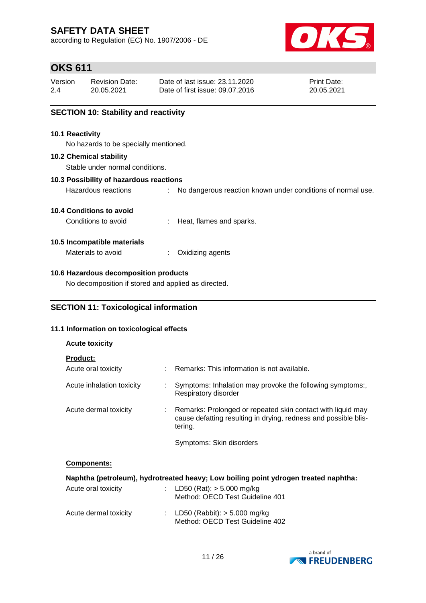according to Regulation (EC) No. 1907/2006 - DE



## **OKS 611**

| Version | <b>Revision Date:</b> | Date of last issue: 23.11.2020  | <b>Print Date:</b> |
|---------|-----------------------|---------------------------------|--------------------|
| 2.4     | 20.05.2021            | Date of first issue: 09.07.2016 | 20.05.2021         |

### **SECTION 10: Stability and reactivity**

#### **10.1 Reactivity**

No hazards to be specially mentioned.

#### **10.2 Chemical stability**

Stable under normal conditions.

### **10.3 Possibility of hazardous reactions**

Hazardous reactions : No dangerous reaction known under conditions of normal use.

### **10.4 Conditions to avoid**

Conditions to avoid : Heat, flames and sparks.

### **10.5 Incompatible materials**

Materials to avoid : Oxidizing agents

### **10.6 Hazardous decomposition products**

No decomposition if stored and applied as directed.

### **11.1 Information on toxicological effects**

### **Acute toxicity**

| Acute oral toxicity       | ÷ | Remarks: This information is not available.                                                                                               |
|---------------------------|---|-------------------------------------------------------------------------------------------------------------------------------------------|
| Acute inhalation toxicity |   | Symptoms: Inhalation may provoke the following symptoms:,<br>Respiratory disorder                                                         |
| Acute dermal toxicity     | ÷ | Remarks: Prolonged or repeated skin contact with liquid may<br>cause defatting resulting in drying, redness and possible blis-<br>tering. |
|                           |   | Symptoms: Skin disorders                                                                                                                  |

### **Components:**

| Naphtha (petroleum), hydrotreated heavy; Low boiling point ydrogen treated naphtha: |  |                                                                     |  |  |
|-------------------------------------------------------------------------------------|--|---------------------------------------------------------------------|--|--|
| Acute oral toxicity                                                                 |  | : LD50 (Rat): $>$ 5.000 mg/kg<br>Method: OECD Test Guideline 401    |  |  |
| Acute dermal toxicity                                                               |  | : LD50 (Rabbit): $>$ 5.000 mg/kg<br>Method: OECD Test Guideline 402 |  |  |

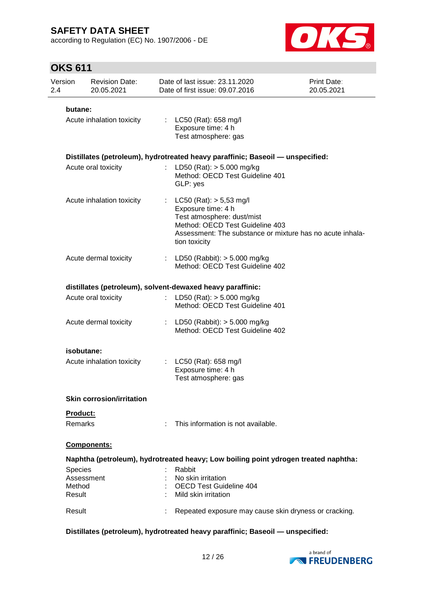according to Regulation (EC) No. 1907/2006 - DE



# **OKS 611**

| Version<br>2.4   | <b>Revision Date:</b><br>20.05.2021 | Date of last issue: 23.11.2020<br>Date of first issue: 09.07.2016                                                                                                                                | Print Date:<br>20.05.2021 |
|------------------|-------------------------------------|--------------------------------------------------------------------------------------------------------------------------------------------------------------------------------------------------|---------------------------|
| butane:          |                                     |                                                                                                                                                                                                  |                           |
|                  | Acute inhalation toxicity           | : $LC50$ (Rat): 658 mg/l<br>Exposure time: 4 h<br>Test atmosphere: gas                                                                                                                           |                           |
|                  |                                     | Distillates (petroleum), hydrotreated heavy paraffinic; Baseoil - unspecified:                                                                                                                   |                           |
|                  | Acute oral toxicity                 | LD50 (Rat): $> 5.000$ mg/kg<br>Method: OECD Test Guideline 401<br>GLP: yes                                                                                                                       |                           |
|                  | Acute inhalation toxicity           | $LC50$ (Rat): $> 5,53$ mg/l<br>Exposure time: 4 h<br>Test atmosphere: dust/mist<br>Method: OECD Test Guideline 403<br>Assessment: The substance or mixture has no acute inhala-<br>tion toxicity |                           |
|                  | Acute dermal toxicity               | : LD50 (Rabbit): $>$ 5.000 mg/kg<br>Method: OECD Test Guideline 402                                                                                                                              |                           |
|                  |                                     | distillates (petroleum), solvent-dewaxed heavy paraffinic:                                                                                                                                       |                           |
|                  | Acute oral toxicity                 | : LD50 (Rat): $> 5.000$ mg/kg<br>Method: OECD Test Guideline 401                                                                                                                                 |                           |
|                  | Acute dermal toxicity               | : LD50 (Rabbit): $> 5.000$ mg/kg<br>Method: OECD Test Guideline 402                                                                                                                              |                           |
|                  | isobutane:                          |                                                                                                                                                                                                  |                           |
|                  | Acute inhalation toxicity           | LC50 (Rat): 658 mg/l<br>Exposure time: 4 h<br>Test atmosphere: gas                                                                                                                               |                           |
|                  | <b>Skin corrosion/irritation</b>    |                                                                                                                                                                                                  |                           |
| <b>Product:</b>  |                                     |                                                                                                                                                                                                  |                           |
| Remarks          |                                     | This information is not available.                                                                                                                                                               |                           |
|                  | Components:                         |                                                                                                                                                                                                  |                           |
|                  |                                     | Naphtha (petroleum), hydrotreated heavy; Low boiling point ydrogen treated naphtha:                                                                                                              |                           |
| Species          |                                     | Rabbit                                                                                                                                                                                           |                           |
|                  | Assessment                          | No skin irritation                                                                                                                                                                               |                           |
| Method<br>Result |                                     | OECD Test Guideline 404<br>Mild skin irritation                                                                                                                                                  |                           |
| Result           |                                     | Repeated exposure may cause skin dryness or cracking.                                                                                                                                            |                           |

**Distillates (petroleum), hydrotreated heavy paraffinic; Baseoil — unspecified:**

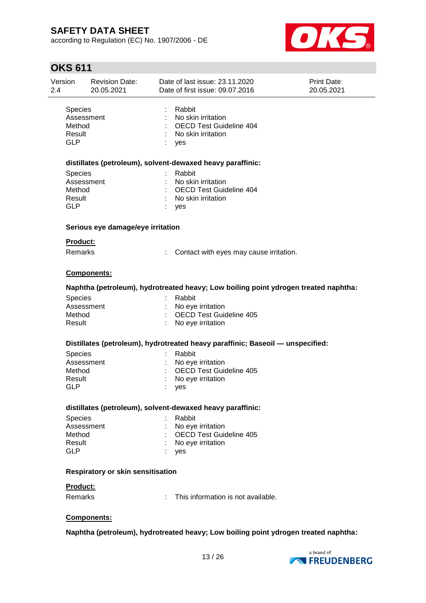according to Regulation (EC) No. 1907/2006 - DE



| Version<br>2.4                                   | <b>Revision Date:</b><br>20.05.2021      | Date of last issue: 23.11.2020<br>Date of first issue: 09.07.2016                           | Print Date:<br>20.05.2021 |
|--------------------------------------------------|------------------------------------------|---------------------------------------------------------------------------------------------|---------------------------|
| <b>Species</b><br>Method<br>Result<br><b>GLP</b> | Assessment                               | Rabbit<br>No skin irritation<br><b>OECD Test Guideline 404</b><br>No skin irritation<br>yes |                           |
|                                                  |                                          | distillates (petroleum), solvent-dewaxed heavy paraffinic:                                  |                           |
| <b>Species</b><br>Method<br>Result<br><b>GLP</b> | Assessment                               | Rabbit<br>No skin irritation<br><b>OECD Test Guideline 404</b><br>No skin irritation<br>yes |                           |
|                                                  | Serious eye damage/eye irritation        |                                                                                             |                           |
| <b>Product:</b>                                  |                                          |                                                                                             |                           |
| <b>Remarks</b>                                   |                                          | Contact with eyes may cause irritation.                                                     |                           |
|                                                  | Components:                              |                                                                                             |                           |
|                                                  |                                          | Naphtha (petroleum), hydrotreated heavy; Low boiling point ydrogen treated naphtha:         |                           |
| Species                                          |                                          | Rabbit                                                                                      |                           |
|                                                  | Assessment                               | No eye irritation                                                                           |                           |
| Method<br>Result                                 |                                          | <b>OECD Test Guideline 405</b><br>No eye irritation                                         |                           |
|                                                  |                                          |                                                                                             |                           |
|                                                  |                                          | Distillates (petroleum), hydrotreated heavy paraffinic; Baseoil - unspecified:              |                           |
| Species                                          |                                          | Rabbit                                                                                      |                           |
|                                                  | Assessment                               | No eye irritation                                                                           |                           |
| Method                                           |                                          | <b>OECD Test Guideline 405</b>                                                              |                           |
| Result<br><b>GLP</b>                             |                                          | No eye irritation                                                                           |                           |
|                                                  |                                          | yes                                                                                         |                           |
|                                                  |                                          | distillates (petroleum), solvent-dewaxed heavy paraffinic:                                  |                           |
| <b>Species</b>                                   |                                          | Rabbit                                                                                      |                           |
|                                                  | Assessment                               | No eye irritation                                                                           |                           |
| Method                                           |                                          | OECD Test Guideline 405                                                                     |                           |
| Result                                           |                                          | No eye irritation                                                                           |                           |
| <b>GLP</b>                                       |                                          | yes                                                                                         |                           |
|                                                  | <b>Respiratory or skin sensitisation</b> |                                                                                             |                           |
| <b>Product:</b>                                  |                                          |                                                                                             |                           |
| Remarks                                          |                                          | This information is not available.<br>÷                                                     |                           |
|                                                  | Components:                              |                                                                                             |                           |
|                                                  |                                          |                                                                                             |                           |
|                                                  |                                          | Naphtha (petroleum), hydrotreated heavy; Low boiling point ydrogen treated naphtha:         |                           |

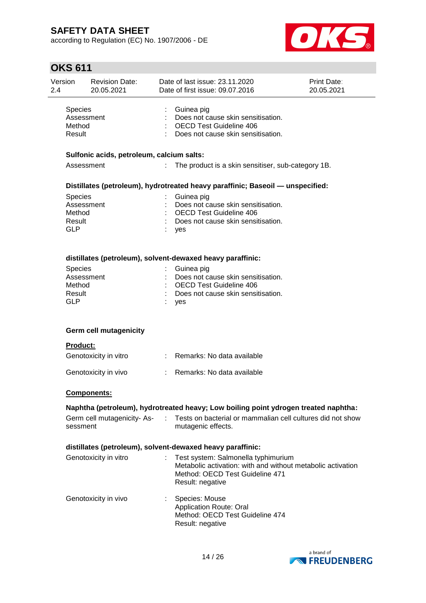according to Regulation (EC) No. 1907/2006 - DE



| Version<br>2.4 |                                                         | <b>Revision Date:</b><br>20.05.2021       |    | Date of last issue: 23.11.2020<br>Date of first issue: 09.07.2016                                                                                                                             | Print Date:<br>20.05.2021 |
|----------------|---------------------------------------------------------|-------------------------------------------|----|-----------------------------------------------------------------------------------------------------------------------------------------------------------------------------------------------|---------------------------|
|                | Species<br>Assessment<br>Method<br>Result               | Sulfonic acids, petroleum, calcium salts: |    | Guinea pig<br>Does not cause skin sensitisation.<br><b>OECD Test Guideline 406</b><br>Does not cause skin sensitisation.                                                                      |                           |
|                | Assessment                                              |                                           | t. | The product is a skin sensitiser, sub-category 1B.                                                                                                                                            |                           |
|                | Species<br>Assessment<br>Method                         |                                           |    | Distillates (petroleum), hydrotreated heavy paraffinic; Baseoil - unspecified:<br>Guinea pig<br>Does not cause skin sensitisation.<br><b>OECD Test Guideline 406</b>                          |                           |
|                | Result<br><b>GLP</b>                                    |                                           |    | Does not cause skin sensitisation.<br>yes                                                                                                                                                     |                           |
|                | Species<br>Assessment<br>Method<br>Result<br><b>GLP</b> |                                           |    | distillates (petroleum), solvent-dewaxed heavy paraffinic:<br>Guinea pig<br>Does not cause skin sensitisation.<br><b>OECD Test Guideline 406</b><br>Does not cause skin sensitisation.<br>yes |                           |
|                |                                                         | <b>Germ cell mutagenicity</b>             |    |                                                                                                                                                                                               |                           |
|                | Product:                                                | Genotoxicity in vitro                     |    | : Remarks: No data available                                                                                                                                                                  |                           |
|                |                                                         | Genotoxicity in vivo                      |    | Remarks: No data available                                                                                                                                                                    |                           |
|                |                                                         | <b>Components:</b>                        |    |                                                                                                                                                                                               |                           |
|                |                                                         |                                           |    | Naphtha (petroleum), hydrotreated heavy; Low boiling point ydrogen treated naphtha:                                                                                                           |                           |
|                | sessment                                                | Germ cell mutagenicity-As-                |    | Tests on bacterial or mammalian cell cultures did not show<br>mutagenic effects.                                                                                                              |                           |
|                |                                                         |                                           |    | distillates (petroleum), solvent-dewaxed heavy paraffinic:                                                                                                                                    |                           |
|                |                                                         | Genotoxicity in vitro                     |    | Test system: Salmonella typhimurium<br>Metabolic activation: with and without metabolic activation<br>Method: OECD Test Guideline 471<br>Result: negative                                     |                           |
|                |                                                         | Genotoxicity in vivo                      |    | Species: Mouse<br>Application Route: Oral<br>Method: OECD Test Guideline 474<br>Result: negative                                                                                              |                           |

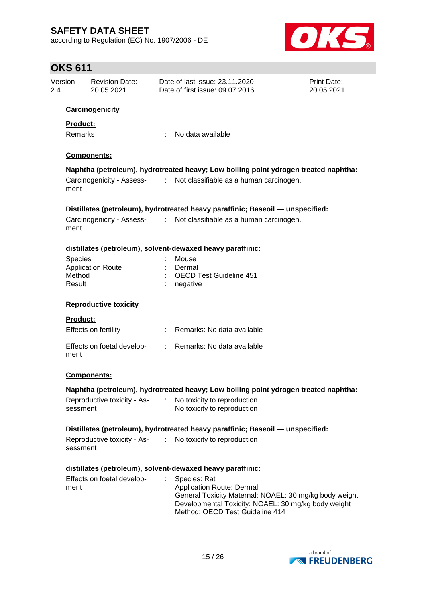according to Regulation (EC) No. 1907/2006 - DE



| Version<br>2.4   | <b>Revision Date:</b><br>20.05.2021 |    | Date of last issue: 23.11.2020<br>Date of first issue: 09.07.2016                                                                                                                             | Print Date:<br>20.05.2021 |
|------------------|-------------------------------------|----|-----------------------------------------------------------------------------------------------------------------------------------------------------------------------------------------------|---------------------------|
|                  | Carcinogenicity                     |    |                                                                                                                                                                                               |                           |
| <b>Product:</b>  |                                     |    |                                                                                                                                                                                               |                           |
| <b>Remarks</b>   |                                     | ÷  | No data available                                                                                                                                                                             |                           |
|                  | Components:                         |    |                                                                                                                                                                                               |                           |
|                  |                                     |    | Naphtha (petroleum), hydrotreated heavy; Low boiling point ydrogen treated naphtha:                                                                                                           |                           |
| ment             |                                     |    | Carcinogenicity - Assess- : Not classifiable as a human carcinogen.                                                                                                                           |                           |
|                  |                                     |    | Distillates (petroleum), hydrotreated heavy paraffinic; Baseoil - unspecified:                                                                                                                |                           |
| ment             |                                     |    | Carcinogenicity - Assess- : Not classifiable as a human carcinogen.                                                                                                                           |                           |
|                  |                                     |    | distillates (petroleum), solvent-dewaxed heavy paraffinic:                                                                                                                                    |                           |
| <b>Species</b>   |                                     |    | Mouse                                                                                                                                                                                         |                           |
|                  | <b>Application Route</b>            |    | Dermal                                                                                                                                                                                        |                           |
| Method<br>Result |                                     |    | <b>OECD Test Guideline 451</b><br>negative                                                                                                                                                    |                           |
|                  | <b>Reproductive toxicity</b>        |    |                                                                                                                                                                                               |                           |
| <b>Product:</b>  |                                     |    |                                                                                                                                                                                               |                           |
|                  | Effects on fertility                |    | : Remarks: No data available                                                                                                                                                                  |                           |
| ment             | Effects on foetal develop-          |    | : Remarks: No data available                                                                                                                                                                  |                           |
|                  | Components:                         |    |                                                                                                                                                                                               |                           |
|                  |                                     |    | Naphtha (petroleum), hydrotreated heavy; Low boiling point ydrogen treated naphtha:                                                                                                           |                           |
| sessment         | Reproductive toxicity - As-         |    | No toxicity to reproduction<br>No toxicity to reproduction                                                                                                                                    |                           |
|                  |                                     |    | Distillates (petroleum), hydrotreated heavy paraffinic; Baseoil — unspecified:                                                                                                                |                           |
| sessment         |                                     |    | Reproductive toxicity - As- : No toxicity to reproduction                                                                                                                                     |                           |
|                  |                                     |    | distillates (petroleum), solvent-dewaxed heavy paraffinic:                                                                                                                                    |                           |
| ment             | Effects on foetal develop-          | ÷. | Species: Rat<br>Application Route: Dermal<br>General Toxicity Maternal: NOAEL: 30 mg/kg body weight<br>Developmental Toxicity: NOAEL: 30 mg/kg body weight<br>Method: OECD Test Guideline 414 |                           |
|                  |                                     |    |                                                                                                                                                                                               |                           |

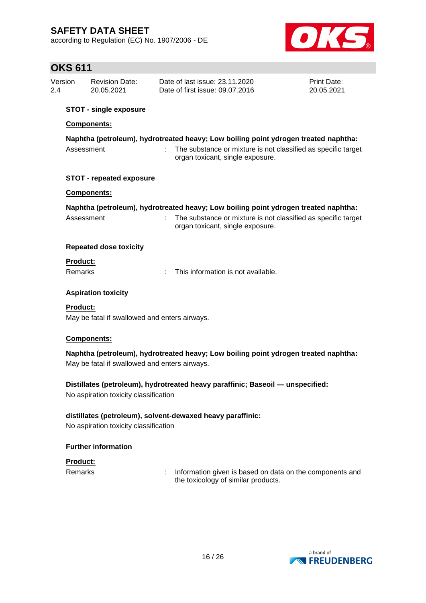according to Regulation (EC) No. 1907/2006 - DE



# **OKS 611**

| <b>OKS 611</b>                                                                                                                                                                                         |                                                                                                                                      |                                               |                                                                                                                                                                                          |                           |  |  |  |
|--------------------------------------------------------------------------------------------------------------------------------------------------------------------------------------------------------|--------------------------------------------------------------------------------------------------------------------------------------|-----------------------------------------------|------------------------------------------------------------------------------------------------------------------------------------------------------------------------------------------|---------------------------|--|--|--|
| Version<br>2.4                                                                                                                                                                                         |                                                                                                                                      | <b>Revision Date:</b><br>20.05.2021           | Date of last issue: 23.11.2020<br>Date of first issue: 09.07.2016                                                                                                                        | Print Date:<br>20.05.2021 |  |  |  |
|                                                                                                                                                                                                        |                                                                                                                                      | <b>STOT - single exposure</b>                 |                                                                                                                                                                                          |                           |  |  |  |
|                                                                                                                                                                                                        | <b>Components:</b>                                                                                                                   |                                               |                                                                                                                                                                                          |                           |  |  |  |
| Naphtha (petroleum), hydrotreated heavy; Low boiling point ydrogen treated naphtha:<br>The substance or mixture is not classified as specific target<br>Assessment<br>organ toxicant, single exposure. |                                                                                                                                      |                                               |                                                                                                                                                                                          |                           |  |  |  |
|                                                                                                                                                                                                        |                                                                                                                                      | <b>STOT - repeated exposure</b>               |                                                                                                                                                                                          |                           |  |  |  |
|                                                                                                                                                                                                        |                                                                                                                                      | <b>Components:</b>                            |                                                                                                                                                                                          |                           |  |  |  |
|                                                                                                                                                                                                        | Assessment                                                                                                                           |                                               | Naphtha (petroleum), hydrotreated heavy; Low boiling point ydrogen treated naphtha:<br>The substance or mixture is not classified as specific target<br>organ toxicant, single exposure. |                           |  |  |  |
|                                                                                                                                                                                                        |                                                                                                                                      | <b>Repeated dose toxicity</b>                 |                                                                                                                                                                                          |                           |  |  |  |
|                                                                                                                                                                                                        | Product:                                                                                                                             |                                               |                                                                                                                                                                                          |                           |  |  |  |
|                                                                                                                                                                                                        | Remarks                                                                                                                              |                                               | This information is not available.                                                                                                                                                       |                           |  |  |  |
|                                                                                                                                                                                                        |                                                                                                                                      | <b>Aspiration toxicity</b>                    |                                                                                                                                                                                          |                           |  |  |  |
|                                                                                                                                                                                                        | <b>Product:</b>                                                                                                                      | May be fatal if swallowed and enters airways. |                                                                                                                                                                                          |                           |  |  |  |
|                                                                                                                                                                                                        |                                                                                                                                      | Components:                                   |                                                                                                                                                                                          |                           |  |  |  |
|                                                                                                                                                                                                        | Naphtha (petroleum), hydrotreated heavy; Low boiling point ydrogen treated naphtha:<br>May be fatal if swallowed and enters airways. |                                               |                                                                                                                                                                                          |                           |  |  |  |
|                                                                                                                                                                                                        |                                                                                                                                      | No aspiration toxicity classification         | Distillates (petroleum), hydrotreated heavy paraffinic; Baseoil — unspecified:                                                                                                           |                           |  |  |  |
|                                                                                                                                                                                                        |                                                                                                                                      | No aspiration toxicity classification         | distillates (petroleum), solvent-dewaxed heavy paraffinic:                                                                                                                               |                           |  |  |  |
|                                                                                                                                                                                                        |                                                                                                                                      | <b>Further information</b>                    |                                                                                                                                                                                          |                           |  |  |  |
|                                                                                                                                                                                                        | Product:                                                                                                                             |                                               |                                                                                                                                                                                          |                           |  |  |  |

Remarks **interpart in the Component is based on data on the components and** the toxicology of similar products.

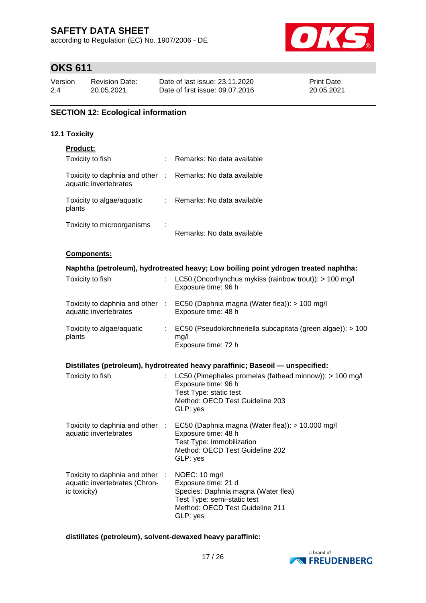according to Regulation (EC) No. 1907/2006 - DE



# **OKS 611**

| Version | Revision Date: | Date of last issue: 23.11.2020  | <b>Print Date:</b> |
|---------|----------------|---------------------------------|--------------------|
| 2.4     | 20.05.2021     | Date of first issue: 09.07.2016 | 20.05.2021         |

### **SECTION 12: Ecological information**

### **12.1 Toxicity**

| Product:                                                                         |                           |                                                                                                                                                           |
|----------------------------------------------------------------------------------|---------------------------|-----------------------------------------------------------------------------------------------------------------------------------------------------------|
| Toxicity to fish                                                                 |                           | Remarks: No data available                                                                                                                                |
| Toxicity to daphnia and other :<br>aquatic invertebrates                         |                           | Remarks: No data available                                                                                                                                |
| Toxicity to algae/aquatic<br>plants                                              | $\mathbb{R}^{\mathbb{Z}}$ | Remarks: No data available                                                                                                                                |
| Toxicity to microorganisms                                                       |                           | Remarks: No data available                                                                                                                                |
| Components:                                                                      |                           |                                                                                                                                                           |
|                                                                                  |                           | Naphtha (petroleum), hydrotreated heavy; Low boiling point ydrogen treated naphtha:                                                                       |
| Toxicity to fish                                                                 |                           | LC50 (Oncorhynchus mykiss (rainbow trout)): > 100 mg/l<br>Exposure time: 96 h                                                                             |
| Toxicity to daphnia and other :<br>aquatic invertebrates                         |                           | EC50 (Daphnia magna (Water flea)): > 100 mg/l<br>Exposure time: 48 h                                                                                      |
| Toxicity to algae/aquatic<br>plants                                              | t.                        | EC50 (Pseudokirchneriella subcapitata (green algae)): > 100<br>mg/l<br>Exposure time: 72 h                                                                |
|                                                                                  |                           | Distillates (petroleum), hydrotreated heavy paraffinic; Baseoil - unspecified:                                                                            |
| Toxicity to fish                                                                 |                           | LC50 (Pimephales promelas (fathead minnow)): > 100 mg/l<br>Exposure time: 96 h<br>Test Type: static test<br>Method: OECD Test Guideline 203<br>GLP: yes   |
| Toxicity to daphnia and other :<br>aquatic invertebrates                         |                           | EC50 (Daphnia magna (Water flea)): > 10.000 mg/l<br>Exposure time: 48 h<br>Test Type: Immobilization<br>Method: OECD Test Guideline 202<br>GLP: yes       |
| Toxicity to daphnia and other :<br>aquatic invertebrates (Chron-<br>ic toxicity) |                           | NOEC: 10 mg/l<br>Exposure time: 21 d<br>Species: Daphnia magna (Water flea)<br>Test Type: semi-static test<br>Method: OECD Test Guideline 211<br>GLP: yes |

### **distillates (petroleum), solvent-dewaxed heavy paraffinic:**

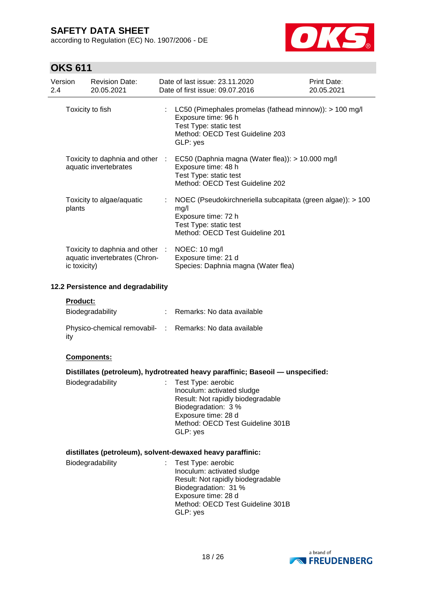according to Regulation (EC) No. 1907/2006 - DE



# **OKS 611**

| 2.4 | Version         | <b>Revision Date:</b><br>20.05.2021                              | Date of last issue: 23.11.2020<br>Date of first issue: 09.07.2016                                                                                       | Print Date:<br>20.05.2021 |
|-----|-----------------|------------------------------------------------------------------|---------------------------------------------------------------------------------------------------------------------------------------------------------|---------------------------|
|     |                 | Toxicity to fish                                                 | LC50 (Pimephales promelas (fathead minnow)): > 100 mg/l<br>Exposure time: 96 h<br>Test Type: static test<br>Method: OECD Test Guideline 203<br>GLP: yes |                           |
|     |                 | Toxicity to daphnia and other :<br>aquatic invertebrates         | EC50 (Daphnia magna (Water flea)): > 10.000 mg/l<br>Exposure time: 48 h<br>Test Type: static test<br>Method: OECD Test Guideline 202                    |                           |
|     | plants          | Toxicity to algae/aquatic                                        | NOEC (Pseudokirchneriella subcapitata (green algae)): > 100<br>mg/l<br>Exposure time: 72 h<br>Test Type: static test<br>Method: OECD Test Guideline 201 |                           |
|     | ic toxicity)    | Toxicity to daphnia and other :<br>aquatic invertebrates (Chron- | NOEC: 10 mg/l<br>Exposure time: 21 d<br>Species: Daphnia magna (Water flea)                                                                             |                           |
|     |                 | 12.2 Persistence and degradability                               |                                                                                                                                                         |                           |
|     | <b>Product:</b> |                                                                  |                                                                                                                                                         |                           |

| Biodegradability                                                 | Remarks: No data available |
|------------------------------------------------------------------|----------------------------|
| Physico-chemical removabil- : Remarks: No data available<br>∣it∨ |                            |

### **Components:**

| Distillates (petroleum), hydrotreated heavy paraffinic; Baseoil - unspecified: |  |  |  |
|--------------------------------------------------------------------------------|--|--|--|
|                                                                                |  |  |  |

| Biodegradability | : Test Type: aerobic              |
|------------------|-----------------------------------|
|                  | Inoculum: activated sludge        |
|                  | Result: Not rapidly biodegradable |
|                  | Biodegradation: 3 %               |
|                  | Exposure time: 28 d               |
|                  | Method: OECD Test Guideline 301B  |
|                  | GLP: yes                          |

### **distillates (petroleum), solvent-dewaxed heavy paraffinic:**

| Biodegradability | : Test Type: aerobic<br>Inoculum: activated sludge<br>Result: Not rapidly biodegradable<br>Biodegradation: 31 %<br>Exposure time: 28 d<br>Method: OECD Test Guideline 301B |
|------------------|----------------------------------------------------------------------------------------------------------------------------------------------------------------------------|
|                  | GLP: yes                                                                                                                                                                   |

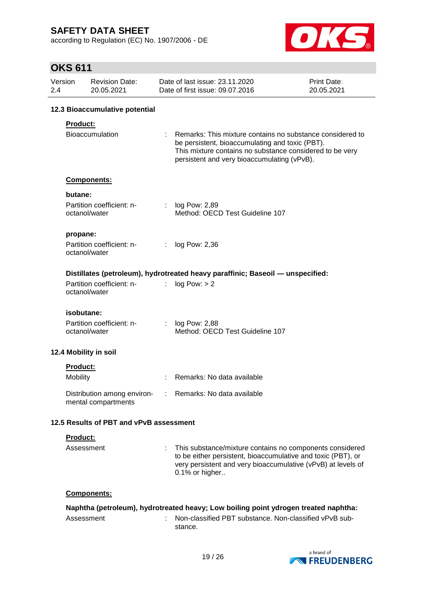according to Regulation (EC) No. 1907/2006 - DE



| 2.4 | Version                | <b>Revision Date:</b><br>20.05.2021        |                | Date of last issue: 23.11.2020<br>Date of first issue: 09.07.2016                                                                                                                                                       | Print Date:<br>20.05.2021 |
|-----|------------------------|--------------------------------------------|----------------|-------------------------------------------------------------------------------------------------------------------------------------------------------------------------------------------------------------------------|---------------------------|
|     |                        | 12.3 Bioaccumulative potential             |                |                                                                                                                                                                                                                         |                           |
|     | Product:               | <b>Bioaccumulation</b>                     |                | Remarks: This mixture contains no substance considered to<br>be persistent, bioaccumulating and toxic (PBT).<br>This mixture contains no substance considered to be very<br>persistent and very bioaccumulating (vPvB). |                           |
|     |                        | Components:                                |                |                                                                                                                                                                                                                         |                           |
|     | butane:                | Partition coefficient: n-<br>octanol/water |                | : $log Pow: 2,89$<br>Method: OECD Test Guideline 107                                                                                                                                                                    |                           |
|     | propane:               | Partition coefficient: n-<br>octanol/water | ÷.             | log Pow: 2,36                                                                                                                                                                                                           |                           |
|     |                        | Partition coefficient: n-<br>octanol/water | t.             | Distillates (petroleum), hydrotreated heavy paraffinic; Baseoil — unspecified:<br>log Pow: > 2                                                                                                                          |                           |
|     | isobutane:             | Partition coefficient: n-<br>octanol/water | $\mathbb{R}^n$ | log Pow: 2,88<br>Method: OECD Test Guideline 107                                                                                                                                                                        |                           |
|     |                        | 12.4 Mobility in soil                      |                |                                                                                                                                                                                                                         |                           |
|     | Product:<br>Mobility   |                                            |                | Remarks: No data available                                                                                                                                                                                              |                           |
|     |                        | mental compartments                        |                | Distribution among environ- : Remarks: No data available                                                                                                                                                                |                           |
|     |                        | 12.5 Results of PBT and vPvB assessment    |                |                                                                                                                                                                                                                         |                           |
|     | Product:<br>Assessment |                                            |                | This substance/mixture contains no components considered<br>to be either persistent, bioaccumulative and toxic (PBT), or<br>very persistent and very bioaccumulative (vPvB) at levels of<br>0.1% or higher              |                           |
|     |                        | Components:                                |                |                                                                                                                                                                                                                         |                           |
|     | Assessment             |                                            |                | Naphtha (petroleum), hydrotreated heavy; Low boiling point ydrogen treated naphtha:<br>Non-classified PBT substance. Non-classified vPvB sub-<br>stance.                                                                |                           |

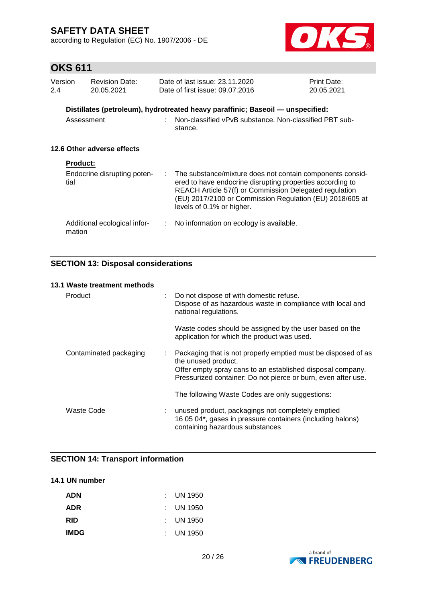according to Regulation (EC) No. 1907/2006 - DE



# **OKS 611**

| Version<br>2.4             | <b>Revision Date:</b><br>20.05.2021            |  | Date of last issue: 23.11.2020<br>Date of first issue: 09.07.2016                                                                                                                                                                                                         | <b>Print Date:</b><br>20.05.2021 |  |
|----------------------------|------------------------------------------------|--|---------------------------------------------------------------------------------------------------------------------------------------------------------------------------------------------------------------------------------------------------------------------------|----------------------------------|--|
|                            | Assessment                                     |  | Distillates (petroleum), hydrotreated heavy paraffinic; Baseoil — unspecified:<br>Non-classified vPvB substance. Non-classified PBT sub-<br>stance.                                                                                                                       |                                  |  |
| 12.6 Other adverse effects |                                                |  |                                                                                                                                                                                                                                                                           |                                  |  |
| tial                       | <b>Product:</b><br>Endocrine disrupting poten- |  | The substance/mixture does not contain components consid-<br>ered to have endocrine disrupting properties according to<br>REACH Article 57(f) or Commission Delegated regulation<br>(EU) 2017/2100 or Commission Regulation (EU) 2018/605 at<br>levels of 0.1% or higher. |                                  |  |
|                            | Additional ecological infor-<br>mation         |  | No information on ecology is available.                                                                                                                                                                                                                                   |                                  |  |

### **SECTION 13: Disposal considerations**

### **13.1 Waste treatment methods**

| Product                | : Do not dispose of with domestic refuse.<br>Dispose of as hazardous waste in compliance with local and<br>national regulations.                                                                                    |
|------------------------|---------------------------------------------------------------------------------------------------------------------------------------------------------------------------------------------------------------------|
|                        | Waste codes should be assigned by the user based on the<br>application for which the product was used.                                                                                                              |
| Contaminated packaging | Packaging that is not properly emptied must be disposed of as<br>the unused product.<br>Offer empty spray cans to an established disposal company.<br>Pressurized container: Do not pierce or burn, even after use. |
|                        | The following Waste Codes are only suggestions:                                                                                                                                                                     |
| Waste Code             | : unused product, packagings not completely emptied<br>16 05 04*, gases in pressure containers (including halons)<br>containing hazardous substances                                                                |

### **SECTION 14: Transport information**

### **14.1 UN number**

| <b>ADN</b>  | $\therefore$ UN 1950 |
|-------------|----------------------|
| <b>ADR</b>  | $\therefore$ UN 1950 |
| <b>RID</b>  | $\pm$ UN 1950        |
| <b>IMDG</b> | $\therefore$ UN 1950 |

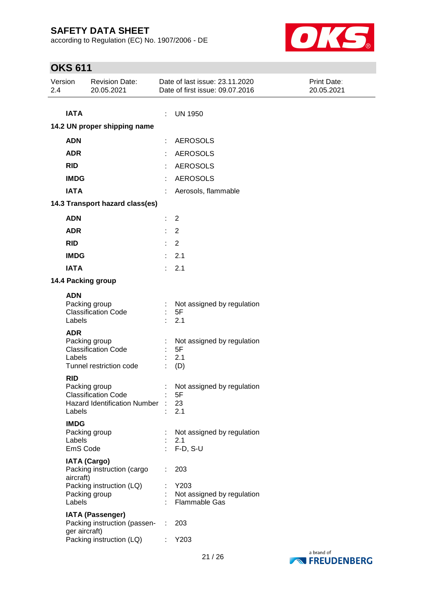according to Regulation (EC) No. 1907/2006 - DE



| Version<br>2.4 |                                   | <b>Revision Date:</b><br>20.05.2021                                                |    | Date of last issue: 23.11.2020<br>Date of first issue: 09.07.2016 | Print Date:<br>20.05.2021 |  |  |  |  |
|----------------|-----------------------------------|------------------------------------------------------------------------------------|----|-------------------------------------------------------------------|---------------------------|--|--|--|--|
|                |                                   |                                                                                    |    |                                                                   |                           |  |  |  |  |
|                | <b>IATA</b>                       |                                                                                    | ÷  | <b>UN 1950</b>                                                    |                           |  |  |  |  |
|                | 14.2 UN proper shipping name      |                                                                                    |    |                                                                   |                           |  |  |  |  |
|                | <b>ADN</b>                        |                                                                                    |    | <b>AEROSOLS</b>                                                   |                           |  |  |  |  |
|                | <b>ADR</b>                        |                                                                                    |    | <b>AEROSOLS</b>                                                   |                           |  |  |  |  |
|                | <b>RID</b>                        |                                                                                    |    | <b>AEROSOLS</b>                                                   |                           |  |  |  |  |
|                | <b>IMDG</b>                       |                                                                                    |    | <b>AEROSOLS</b>                                                   |                           |  |  |  |  |
|                | <b>IATA</b>                       |                                                                                    |    | Aerosols, flammable                                               |                           |  |  |  |  |
|                |                                   | 14.3 Transport hazard class(es)                                                    |    |                                                                   |                           |  |  |  |  |
|                | <b>ADN</b>                        |                                                                                    | ÷. | 2                                                                 |                           |  |  |  |  |
|                | <b>ADR</b>                        |                                                                                    | ÷. | 2                                                                 |                           |  |  |  |  |
|                | <b>RID</b>                        |                                                                                    | ÷. | 2                                                                 |                           |  |  |  |  |
|                | <b>IMDG</b>                       |                                                                                    | ÷. | 2.1                                                               |                           |  |  |  |  |
|                | <b>IATA</b>                       |                                                                                    | ÷. | 2.1                                                               |                           |  |  |  |  |
|                |                                   | 14.4 Packing group                                                                 |    |                                                                   |                           |  |  |  |  |
|                | <b>ADN</b>                        |                                                                                    |    |                                                                   |                           |  |  |  |  |
|                | Labels                            | Packing group<br><b>Classification Code</b>                                        |    | Not assigned by regulation<br>5F<br>2.1                           |                           |  |  |  |  |
|                | <b>ADR</b><br>Labels              | Packing group<br><b>Classification Code</b><br>Tunnel restriction code             |    | Not assigned by regulation<br>5F<br>2.1<br>(D)                    |                           |  |  |  |  |
|                | <b>RID</b><br>Labels              | Packing group<br><b>Classification Code</b><br><b>Hazard Identification Number</b> |    | Not assigned by regulation<br>5F<br>23<br>2.1                     |                           |  |  |  |  |
|                | <b>IMDG</b><br>Labels<br>EmS Code | Packing group                                                                      |    | Not assigned by regulation<br>2.1<br>$F-D, S-U$                   |                           |  |  |  |  |
|                |                                   | <b>IATA (Cargo)</b><br>Packing instruction (cargo                                  |    | 203                                                               |                           |  |  |  |  |
|                | aircraft)<br>Labels               | Packing instruction (LQ)<br>Packing group                                          |    | Y203<br>Not assigned by regulation<br><b>Flammable Gas</b>        |                           |  |  |  |  |
|                | ger aircraft)                     | <b>IATA (Passenger)</b><br>Packing instruction (passen-                            | ÷  | 203                                                               |                           |  |  |  |  |
|                |                                   | Packing instruction (LQ)                                                           |    | Y203                                                              |                           |  |  |  |  |

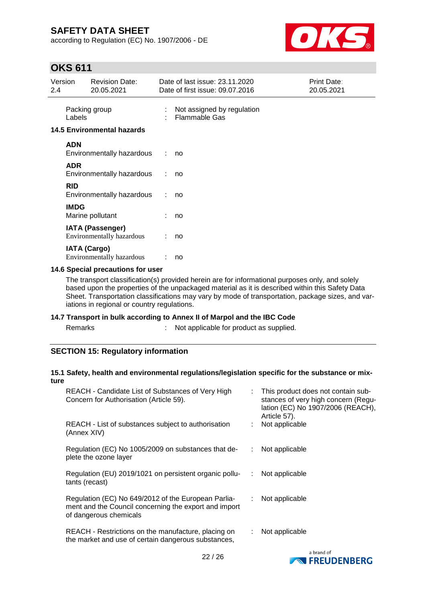according to Regulation (EC) No. 1907/2006 - DE



## **OKS 611**

| Version<br>2.4 |                     | <b>Revision Date:</b><br>20.05.2021                  |       | Date of last issue: 23.11.2020<br>Date of first issue: 09.07.2016 | Print Date:<br>20.05.2021 |
|----------------|---------------------|------------------------------------------------------|-------|-------------------------------------------------------------------|---------------------------|
|                | Labels              | Packing group                                        |       | Not assigned by regulation<br><b>Flammable Gas</b>                |                           |
|                |                     | <b>14.5 Environmental hazards</b>                    |       |                                                                   |                           |
|                | <b>ADN</b>          | Environmentally hazardous                            | diam. | no                                                                |                           |
|                | <b>ADR</b>          | Environmentally hazardous                            | ÷     | no                                                                |                           |
|                | <b>RID</b>          | Environmentally hazardous                            |       | no                                                                |                           |
|                | <b>IMDG</b>         | Marine pollutant                                     |       | no                                                                |                           |
|                |                     | <b>IATA (Passenger)</b><br>Environmentally hazardous |       | no                                                                |                           |
|                | <b>IATA (Cargo)</b> | Environmentally hazardous                            |       | no                                                                |                           |

### **14.6 Special precautions for user**

The transport classification(s) provided herein are for informational purposes only, and solely based upon the properties of the unpackaged material as it is described within this Safety Data Sheet. Transportation classifications may vary by mode of transportation, package sizes, and variations in regional or country regulations.

### **14.7 Transport in bulk according to Annex II of Marpol and the IBC Code**

s and  $\mathbf{R}$ : Not applicable for product as supplied.

### **SECTION 15: Regulatory information**

#### **15.1 Safety, health and environmental regulations/legislation specific for the substance or mixture**

| REACH - Candidate List of Substances of Very High<br>Concern for Authorisation (Article 59).                                           | : This product does not contain sub-<br>stances of very high concern (Regu-<br>lation (EC) No 1907/2006 (REACH),<br>Article 57). |  |
|----------------------------------------------------------------------------------------------------------------------------------------|----------------------------------------------------------------------------------------------------------------------------------|--|
| REACH - List of substances subject to authorisation<br>(Annex XIV)                                                                     | Not applicable                                                                                                                   |  |
| Regulation (EC) No 1005/2009 on substances that de-<br>plete the ozone layer                                                           | Not applicable<br>÷.                                                                                                             |  |
| Regulation (EU) 2019/1021 on persistent organic pollu-<br>tants (recast)                                                               | Not applicable<br>÷                                                                                                              |  |
| Regulation (EC) No 649/2012 of the European Parlia-<br>ment and the Council concerning the export and import<br>of dangerous chemicals | Not applicable<br>÷                                                                                                              |  |
| REACH - Restrictions on the manufacture, placing on<br>the market and use of certain dangerous substances,                             | Not applicable                                                                                                                   |  |
|                                                                                                                                        | a brand of                                                                                                                       |  |

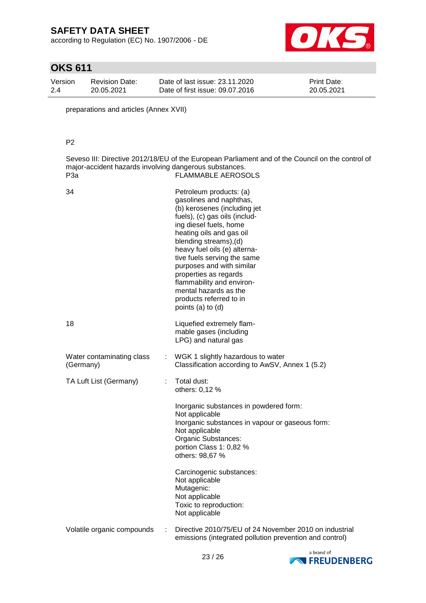according to Regulation (EC) No. 1907/2006 - DE



# **OKS 611**

| Version | Revision Date: | Date of last issue: 23.11.2020  | <b>Print Date:</b> |
|---------|----------------|---------------------------------|--------------------|
| 2.4     | 20.05.2021     | Date of first issue: 09.07.2016 | 20.05.2021         |

preparations and articles (Annex XVII)

### P2

Seveso III: Directive 2012/18/EU of the European Parliament and of the Council on the control of major-accident hazards involving dangerous substances. P3a **FLAMMABLE AEROSOLS** 

| 34                                     |   | Petroleum products: (a)<br>gasolines and naphthas,<br>(b) kerosenes (including jet<br>fuels), (c) gas oils (includ-<br>ing diesel fuels, home<br>heating oils and gas oil<br>blending streams), (d)<br>heavy fuel oils (e) alterna-<br>tive fuels serving the same<br>purposes and with similar<br>properties as regards<br>flammability and environ-<br>mental hazards as the<br>products referred to in<br>points (a) to (d) |
|----------------------------------------|---|--------------------------------------------------------------------------------------------------------------------------------------------------------------------------------------------------------------------------------------------------------------------------------------------------------------------------------------------------------------------------------------------------------------------------------|
| 18                                     |   | Liquefied extremely flam-<br>mable gases (including<br>LPG) and natural gas                                                                                                                                                                                                                                                                                                                                                    |
| Water contaminating class<br>(Germany) |   | WGK 1 slightly hazardous to water<br>Classification according to AwSV, Annex 1 (5.2)                                                                                                                                                                                                                                                                                                                                           |
| TA Luft List (Germany)                 | ÷ | Total dust:<br>others: 0,12 %                                                                                                                                                                                                                                                                                                                                                                                                  |
|                                        |   | Inorganic substances in powdered form:<br>Not applicable<br>Inorganic substances in vapour or gaseous form:<br>Not applicable<br>Organic Substances:<br>portion Class 1: 0,82 %<br>others: 98,67 %                                                                                                                                                                                                                             |
|                                        |   | Carcinogenic substances:<br>Not applicable<br>Mutagenic:<br>Not applicable<br>Toxic to reproduction:<br>Not applicable                                                                                                                                                                                                                                                                                                         |
| Volatile organic compounds             | ÷ | Directive 2010/75/EU of 24 November 2010 on industrial<br>emissions (integrated pollution prevention and control)                                                                                                                                                                                                                                                                                                              |

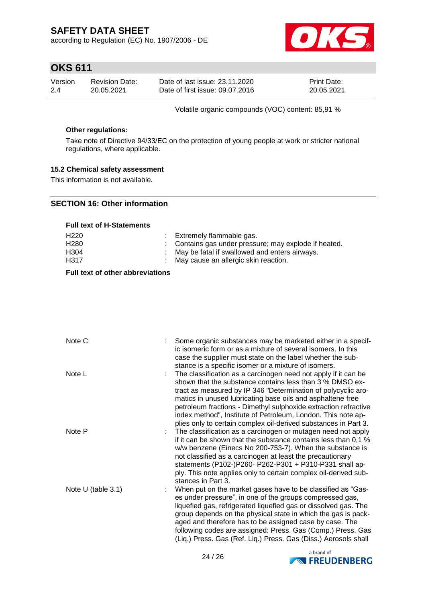according to Regulation (EC) No. 1907/2006 - DE



## **OKS 611**

| Version | <b>Revision Date:</b> | Date of last issue: 23.11.2020  | <b>Print Date:</b> |
|---------|-----------------------|---------------------------------|--------------------|
| 2.4     | 20.05.2021            | Date of first issue: 09.07.2016 | 20.05.2021         |

Volatile organic compounds (VOC) content: 85,91 %

#### **Other regulations:**

Take note of Directive 94/33/EC on the protection of young people at work or stricter national regulations, where applicable.

### **15.2 Chemical safety assessment**

This information is not available.

### **SECTION 16: Other information**

#### **Full text of H-Statements**

| H <sub>220</sub> | : Extremely flammable gas.                            |
|------------------|-------------------------------------------------------|
| H <sub>280</sub> | : Contains gas under pressure; may explode if heated. |
| H <sub>304</sub> | : May be fatal if swallowed and enters airways.       |
| H317             | : May cause an allergic skin reaction.                |

### **Full text of other abbreviations**

| Note C               | Some organic substances may be marketed either in a specif-<br>ic isomeric form or as a mixture of several isomers. In this<br>case the supplier must state on the label whether the sub-<br>stance is a specific isomer or a mixture of isomers.                                                                                                                                                                                                                              |
|----------------------|--------------------------------------------------------------------------------------------------------------------------------------------------------------------------------------------------------------------------------------------------------------------------------------------------------------------------------------------------------------------------------------------------------------------------------------------------------------------------------|
| Note L               | The classification as a carcinogen need not apply if it can be<br>shown that the substance contains less than 3 % DMSO ex-<br>tract as measured by IP 346 "Determination of polycyclic aro-<br>matics in unused lubricating base oils and asphaltene free<br>petroleum fractions - Dimethyl sulphoxide extraction refractive<br>index method", Institute of Petroleum, London. This note ap-                                                                                   |
| Note P               | plies only to certain complex oil-derived substances in Part 3.<br>The classification as a carcinogen or mutagen need not apply<br>if it can be shown that the substance contains less than 0,1 %<br>w/w benzene (Einecs No 200-753-7). When the substance is<br>not classified as a carcinogen at least the precautionary<br>statements (P102-)P260- P262-P301 + P310-P331 shall ap-<br>ply. This note applies only to certain complex oil-derived sub-                       |
| Note $U$ (table 3.1) | stances in Part 3.<br>When put on the market gases have to be classified as "Gas-<br>es under pressure", in one of the groups compressed gas,<br>liquefied gas, refrigerated liquefied gas or dissolved gas. The<br>group depends on the physical state in which the gas is pack-<br>aged and therefore has to be assigned case by case. The<br>following codes are assigned: Press. Gas (Comp.) Press. Gas<br>(Liq.) Press. Gas (Ref. Liq.) Press. Gas (Diss.) Aerosols shall |

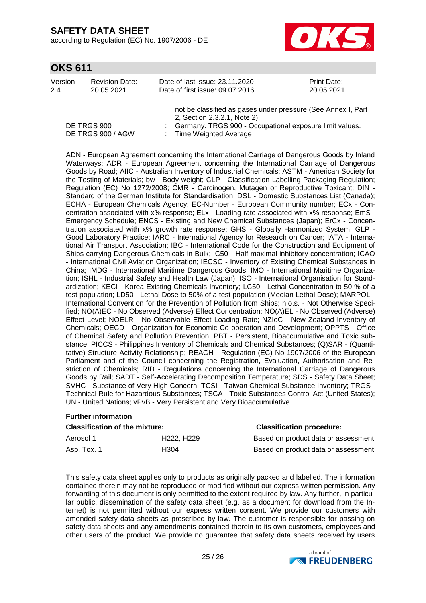according to Regulation (EC) No. 1907/2006 - DE



## **OKS 611**

| Version | <b>Revision Date:</b> | Date of last issue: 23.11.2020  | <b>Print Date:</b> |
|---------|-----------------------|---------------------------------|--------------------|
| -2.4    | 20.05.2021            | Date of first issue: 09.07.2016 | 20.05.2021         |

|                   | not be classified as gases under pressure (See Annex I, Part |
|-------------------|--------------------------------------------------------------|
|                   | 2, Section 2.3.2.1, Note 2).                                 |
| DE TRGS 900       | : Germany. TRGS 900 - Occupational exposure limit values.    |
| DE TRGS 900 / AGW | : Time Weighted Average                                      |

ADN - European Agreement concerning the International Carriage of Dangerous Goods by Inland Waterways; ADR - European Agreement concerning the International Carriage of Dangerous Goods by Road; AIIC - Australian Inventory of Industrial Chemicals; ASTM - American Society for the Testing of Materials; bw - Body weight; CLP - Classification Labelling Packaging Regulation; Regulation (EC) No 1272/2008; CMR - Carcinogen, Mutagen or Reproductive Toxicant; DIN - Standard of the German Institute for Standardisation; DSL - Domestic Substances List (Canada); ECHA - European Chemicals Agency; EC-Number - European Community number; ECx - Concentration associated with x% response; ELx - Loading rate associated with x% response; EmS - Emergency Schedule; ENCS - Existing and New Chemical Substances (Japan); ErCx - Concentration associated with x% growth rate response; GHS - Globally Harmonized System; GLP - Good Laboratory Practice; IARC - International Agency for Research on Cancer; IATA - International Air Transport Association; IBC - International Code for the Construction and Equipment of Ships carrying Dangerous Chemicals in Bulk; IC50 - Half maximal inhibitory concentration; ICAO - International Civil Aviation Organization; IECSC - Inventory of Existing Chemical Substances in China; IMDG - International Maritime Dangerous Goods; IMO - International Maritime Organization; ISHL - Industrial Safety and Health Law (Japan); ISO - International Organisation for Standardization; KECI - Korea Existing Chemicals Inventory; LC50 - Lethal Concentration to 50 % of a test population; LD50 - Lethal Dose to 50% of a test population (Median Lethal Dose); MARPOL - International Convention for the Prevention of Pollution from Ships; n.o.s. - Not Otherwise Specified; NO(A)EC - No Observed (Adverse) Effect Concentration; NO(A)EL - No Observed (Adverse) Effect Level; NOELR - No Observable Effect Loading Rate; NZIoC - New Zealand Inventory of Chemicals; OECD - Organization for Economic Co-operation and Development; OPPTS - Office of Chemical Safety and Pollution Prevention; PBT - Persistent, Bioaccumulative and Toxic substance; PICCS - Philippines Inventory of Chemicals and Chemical Substances; (Q)SAR - (Quantitative) Structure Activity Relationship; REACH - Regulation (EC) No 1907/2006 of the European Parliament and of the Council concerning the Registration, Evaluation, Authorisation and Restriction of Chemicals; RID - Regulations concerning the International Carriage of Dangerous Goods by Rail; SADT - Self-Accelerating Decomposition Temperature; SDS - Safety Data Sheet; SVHC - Substance of Very High Concern; TCSI - Taiwan Chemical Substance Inventory; TRGS - Technical Rule for Hazardous Substances; TSCA - Toxic Substances Control Act (United States); UN - United Nations; vPvB - Very Persistent and Very Bioaccumulative

### **Further information**

| <b>Classification of the mixture:</b> | <b>Classification procedure:</b>    |                                     |
|---------------------------------------|-------------------------------------|-------------------------------------|
| Aerosol 1                             | H <sub>222</sub> . H <sub>229</sub> | Based on product data or assessment |
| Asp. Tox. 1                           | H304                                | Based on product data or assessment |

This safety data sheet applies only to products as originally packed and labelled. The information contained therein may not be reproduced or modified without our express written permission. Any forwarding of this document is only permitted to the extent required by law. Any further, in particular public, dissemination of the safety data sheet (e.g. as a document for download from the Internet) is not permitted without our express written consent. We provide our customers with amended safety data sheets as prescribed by law. The customer is responsible for passing on safety data sheets and any amendments contained therein to its own customers, employees and other users of the product. We provide no guarantee that safety data sheets received by users